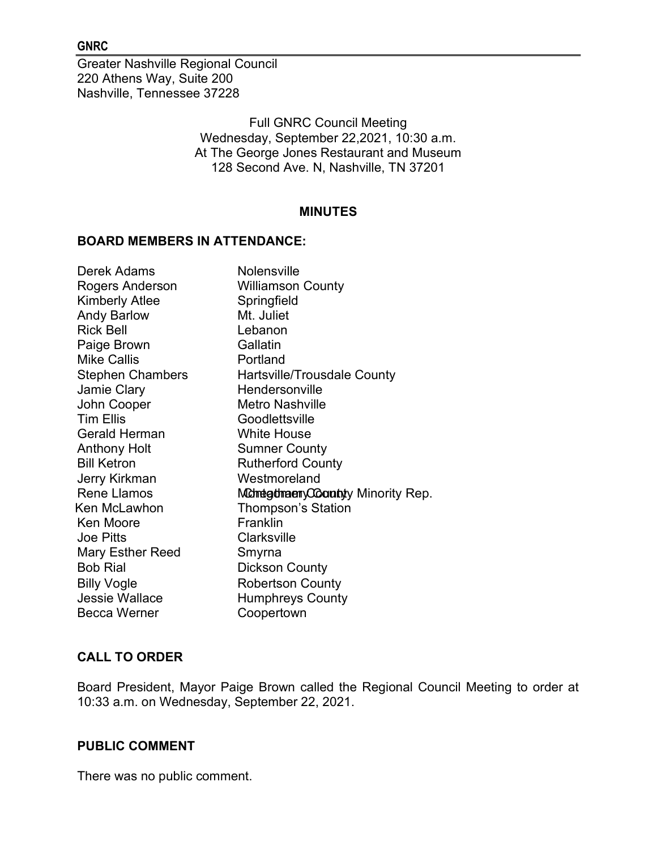#### GNRC

Greater Nashville Regional Council 220 Athens Way, Suite 200 Nashville, Tennessee 37228

> Full GNRC Council Meeting Wednesday, September 22,2021, 10:30 a.m. At The George Jones Restaurant and Museum 128 Second Ave. N, Nashville, TN 37201

#### MINUTES

#### BOARD MEMBERS IN ATTENDANCE:

| Derek Adams             | <b>Nolensville</b>                    |
|-------------------------|---------------------------------------|
| Rogers Anderson         | <b>Williamson County</b>              |
| <b>Kimberly Atlee</b>   | Springfield                           |
| <b>Andy Barlow</b>      | Mt. Juliet                            |
| <b>Rick Bell</b>        | Lebanon                               |
| Paige Brown             | Gallatin                              |
| <b>Mike Callis</b>      | Portland                              |
| <b>Stephen Chambers</b> | Hartsville/Trousdale County           |
| Jamie Clary             | Hendersonville                        |
| John Cooper             | <b>Metro Nashville</b>                |
| <b>Tim Ellis</b>        | Goodlettsville                        |
| <b>Gerald Herman</b>    | <b>White House</b>                    |
| <b>Anthony Holt</b>     | <b>Sumner County</b>                  |
| <b>Bill Ketron</b>      | <b>Rutherford County</b>              |
| Jerry Kirkman           | Westmoreland                          |
| <b>Rene Llamos</b>      | Montegotmaery Coloranty Minority Rep. |
| Ken McLawhon            | <b>Thompson's Station</b>             |
| <b>Ken Moore</b>        | Franklin                              |
| <b>Joe Pitts</b>        | <b>Clarksville</b>                    |
| <b>Mary Esther Reed</b> | Smyrna                                |
| <b>Bob Rial</b>         | <b>Dickson County</b>                 |
| <b>Billy Vogle</b>      | <b>Robertson County</b>               |
| <b>Jessie Wallace</b>   | <b>Humphreys County</b>               |
| <b>Becca Werner</b>     | Coopertown                            |

# CALL TO ORDER

Board President, Mayor Paige Brown called the Regional Council Meeting to order at 10:33 a.m. on Wednesday, September 22, 2021.

#### PUBLIC COMMENT

There was no public comment.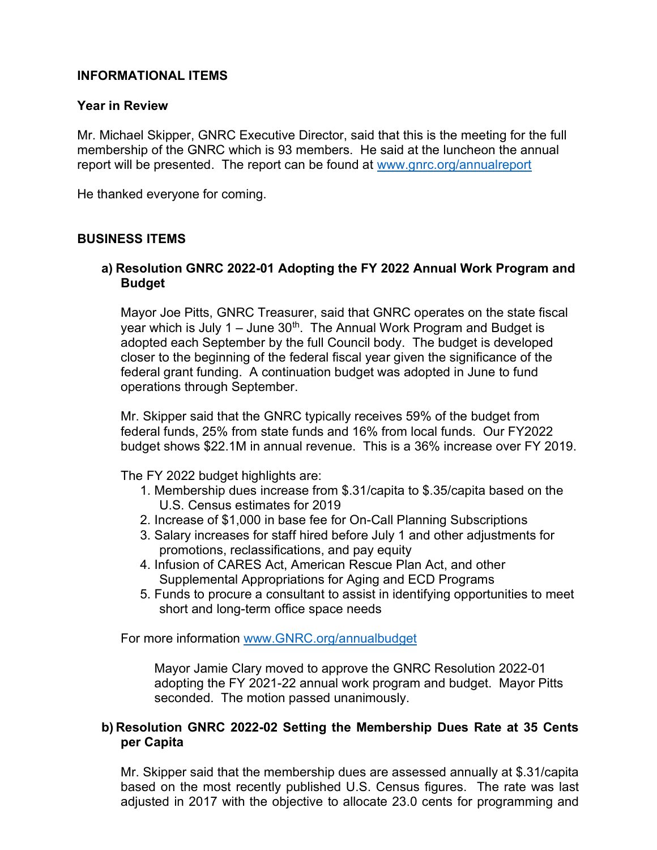# INFORMATIONAL ITEMS

### Year in Review

Mr. Michael Skipper, GNRC Executive Director, said that this is the meeting for the full membership of the GNRC which is 93 members. He said at the luncheon the annual report will be presented. The report can be found at www.gnrc.org/annualreport

He thanked everyone for coming.

#### BUSINESS ITEMS

### a) Resolution GNRC 2022-01 Adopting the FY 2022 Annual Work Program and Budget

Mayor Joe Pitts, GNRC Treasurer, said that GNRC operates on the state fiscal year which is July 1 – June  $30<sup>th</sup>$ . The Annual Work Program and Budget is adopted each September by the full Council body. The budget is developed closer to the beginning of the federal fiscal year given the significance of the federal grant funding. A continuation budget was adopted in June to fund operations through September.

Mr. Skipper said that the GNRC typically receives 59% of the budget from federal funds, 25% from state funds and 16% from local funds. Our FY2022 budget shows \$22.1M in annual revenue. This is a 36% increase over FY 2019.

The FY 2022 budget highlights are:

- 1. Membership dues increase from \$.31/capita to \$.35/capita based on the U.S. Census estimates for 2019
- 2. Increase of \$1,000 in base fee for On-Call Planning Subscriptions
- 3. Salary increases for staff hired before July 1 and other adjustments for promotions, reclassifications, and pay equity
- 4. Infusion of CARES Act, American Rescue Plan Act, and other Supplemental Appropriations for Aging and ECD Programs
- 5. Funds to procure a consultant to assist in identifying opportunities to meet short and long-term office space needs

For more information www.GNRC.org/annualbudget

Mayor Jamie Clary moved to approve the GNRC Resolution 2022-01 adopting the FY 2021-22 annual work program and budget. Mayor Pitts seconded. The motion passed unanimously.

### b) Resolution GNRC 2022-02 Setting the Membership Dues Rate at 35 Cents per Capita

Mr. Skipper said that the membership dues are assessed annually at \$.31/capita based on the most recently published U.S. Census figures. The rate was last adjusted in 2017 with the objective to allocate 23.0 cents for programming and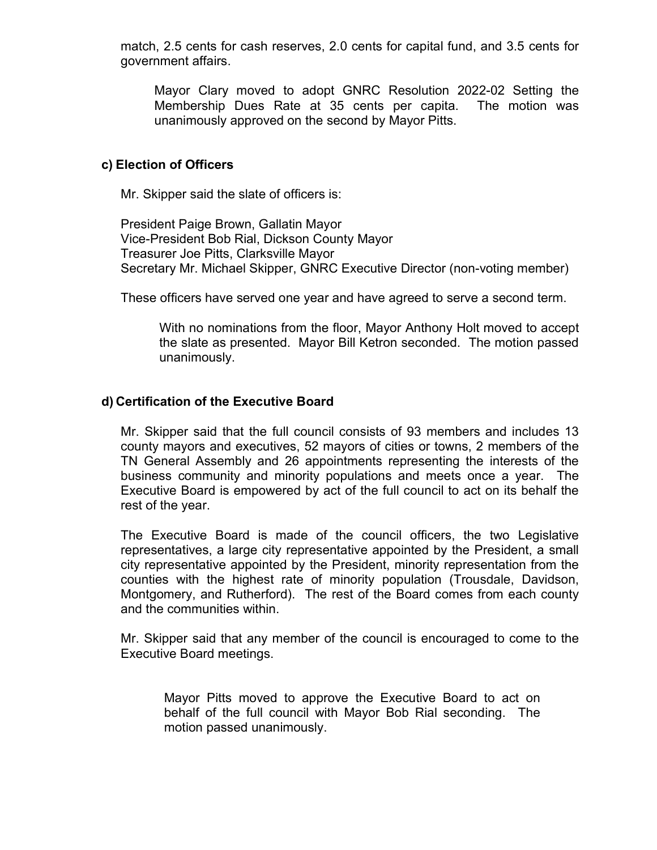match, 2.5 cents for cash reserves, 2.0 cents for capital fund, and 3.5 cents for government affairs.

Mayor Clary moved to adopt GNRC Resolution 2022-02 Setting the Membership Dues Rate at 35 cents per capita. The motion was unanimously approved on the second by Mayor Pitts.

#### c) Election of Officers

Mr. Skipper said the slate of officers is:

President Paige Brown, Gallatin Mayor Vice-President Bob Rial, Dickson County Mayor Treasurer Joe Pitts, Clarksville Mayor Secretary Mr. Michael Skipper, GNRC Executive Director (non-voting member)

These officers have served one year and have agreed to serve a second term.

With no nominations from the floor, Mayor Anthony Holt moved to accept the slate as presented. Mayor Bill Ketron seconded. The motion passed unanimously.

### d) Certification of the Executive Board

Mr. Skipper said that the full council consists of 93 members and includes 13 county mayors and executives, 52 mayors of cities or towns, 2 members of the TN General Assembly and 26 appointments representing the interests of the business community and minority populations and meets once a year. The Executive Board is empowered by act of the full council to act on its behalf the rest of the year.

The Executive Board is made of the council officers, the two Legislative representatives, a large city representative appointed by the President, a small city representative appointed by the President, minority representation from the counties with the highest rate of minority population (Trousdale, Davidson, Montgomery, and Rutherford). The rest of the Board comes from each county and the communities within.

Mr. Skipper said that any member of the council is encouraged to come to the Executive Board meetings.

Mayor Pitts moved to approve the Executive Board to act on behalf of the full council with Mayor Bob Rial seconding. The motion passed unanimously.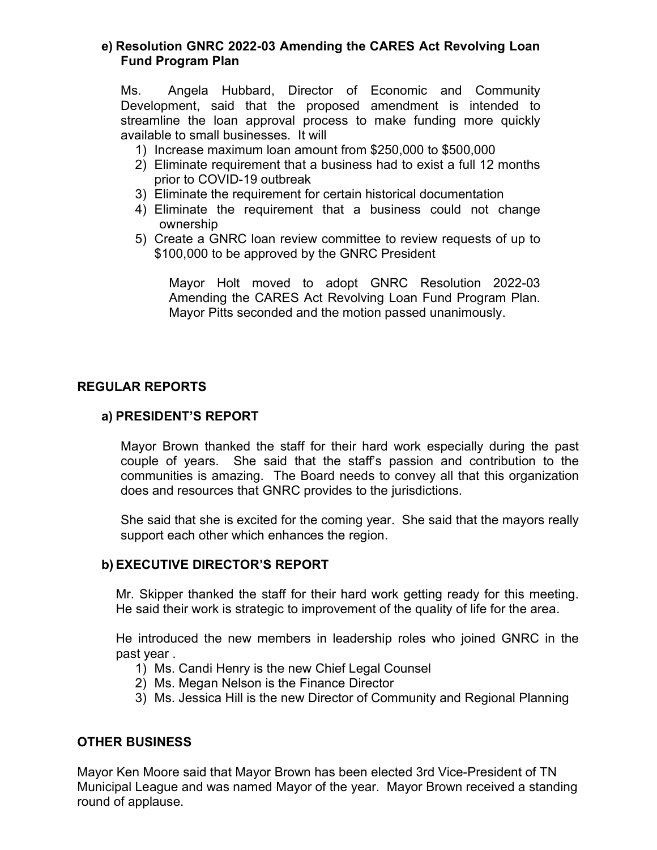### e) Resolution GNRC 2022-03 Amending the CARES Act Revolving Loan Fund Program Plan

Ms. Angela Hubbard, Director of Economic and Community Development, said that the proposed amendment is intended to streamline the loan approval process to make funding more quickly available to small businesses. It will

- 1) Increase maximum loan amount from \$250,000 to \$500,000
- 2) Eliminate requirement that a business had to exist a full 12 months prior to COVID-19 outbreak
- 3) Eliminate the requirement for certain historical documentation
- 4) Eliminate the requirement that a business could not change ownership
- 5) Create a GNRC loan review committee to review requests of up to \$100,000 to be approved by the GNRC President

Mayor Holt moved to adopt GNRC Resolution 2022-03 Amending the CARES Act Revolving Loan Fund Program Plan. Mayor Pitts seconded and the motion passed unanimously.

### REGULAR REPORTS

# a) PRESIDENT'S REPORT

Mayor Brown thanked the staff for their hard work especially during the past couple of years. She said that the staff's passion and contribution to the communities is amazing. The Board needs to convey all that this organization does and resources that GNRC provides to the jurisdictions.

She said that she is excited for the coming year. She said that the mayors really support each other which enhances the region.

### b) EXECUTIVE DIRECTOR'S REPORT

Mr. Skipper thanked the staff for their hard work getting ready for this meeting. He said their work is strategic to improvement of the quality of life for the area.

He introduced the new members in leadership roles who joined GNRC in the past year .

- 1) Ms. Candi Henry is the new Chief Legal Counsel
- 2) Ms. Megan Nelson is the Finance Director
- 3) Ms. Jessica Hill is the new Director of Community and Regional Planning

### OTHER BUSINESS

Mayor Ken Moore said that Mayor Brown has been elected 3rd Vice-President of TN Municipal League and was named Mayor of the year. Mayor Brown received a standing round of applause.